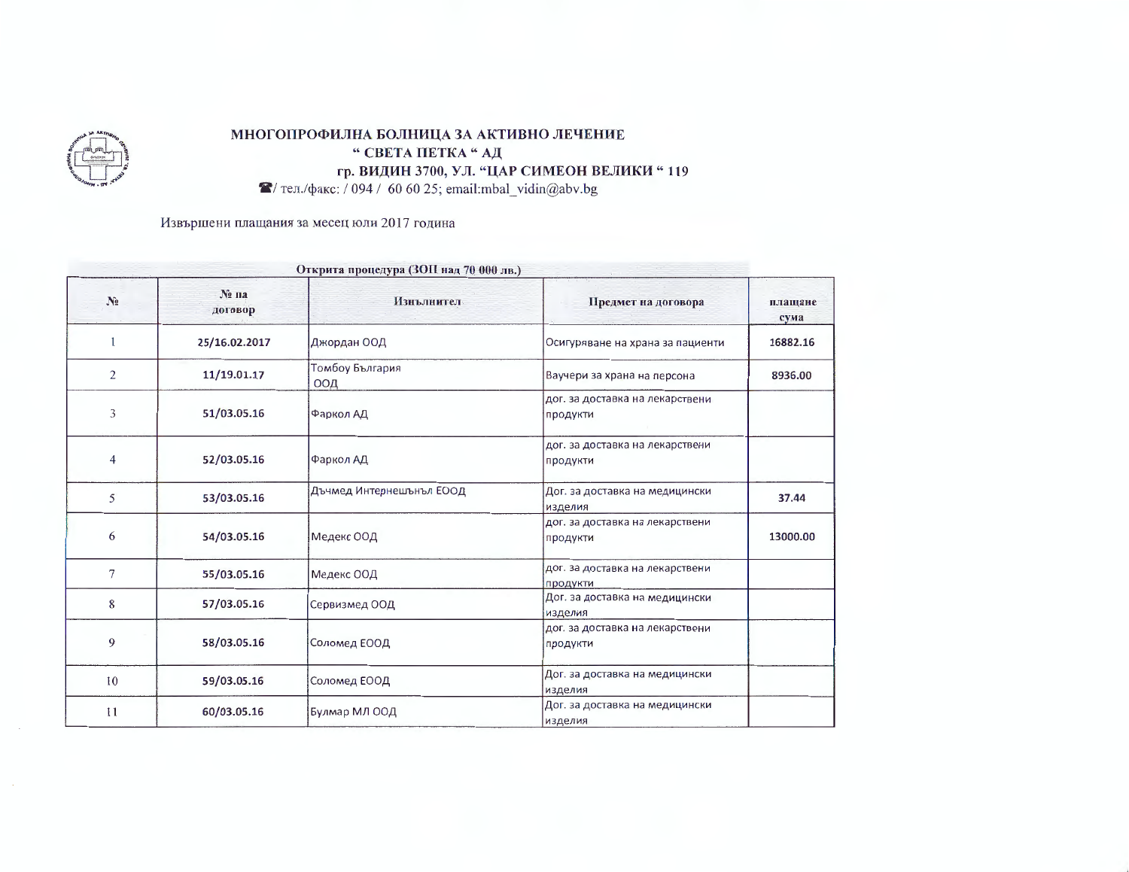

## МНОГОПРОФИЛНА БОЛНИЦА ЗА АКТИВНО ЛЕЧЕНИЕ " СВЕТА ПЕТКА "АД гр. ВИДИН 3700, УЛ. "ЦАР СИМЕОН ВЕЛИКИ "119

 $\blacktriangleright$  тел./факс: / 094 / 60 60 25; email:mbal vidin@abv.bg

Извършени плащания за месец юли 2017 година

| Открита процедура (ЗОП над 70 000 лв.) |                 |                          |                                             |                 |
|----------------------------------------|-----------------|--------------------------|---------------------------------------------|-----------------|
| N <sub>2</sub>                         | № па<br>договор | Изнълнител               | Предмет на договора                         | плащане<br>сума |
|                                        | 25/16.02.2017   | Джордан ООД              | Осигуряване на храна за пациенти            | 16882.16        |
| $\overline{c}$                         | 11/19.01.17     | Томбоу България<br>ООД   | Ваучери за храна на персона                 | 8936.00         |
| 3                                      | 51/03.05.16     | Фаркол АД                | дог. за доставка на лекарствени<br>продукти |                 |
| 4                                      | 52/03.05.16     | Фаркол АД                | дог. за доставка на лекарствени<br>продукти |                 |
| 5                                      | 53/03.05.16     | Дъчмед Интернешънъл ЕООД | Дог. за доставка на медицински<br>изделия   | 37.44           |
| 6                                      | 54/03.05.16     | Медекс ООД               | дог. за доставка на лекарствени<br>продукти | 13000.00        |
| 7                                      | 55/03.05.16     | Медекс ООД               | дог. за доставка на лекарствени<br>продукти |                 |
| 8                                      | 57/03.05.16     | Сервизмед ООД            | Дог. за доставка на медицински<br>изделия   |                 |
| 9                                      | 58/03.05.16     | Соломед ЕООД             | дог. за доставка на лекарствени<br>продукти |                 |
| 10                                     | 59/03.05.16     | Соломед ЕООД             | Дог. за доставка на медицински<br>изделия   |                 |
| $_{11}$                                | 60/03.05.16     | Булмар МЛ ООД            | Дог. за доставка на медицински<br>изделия   |                 |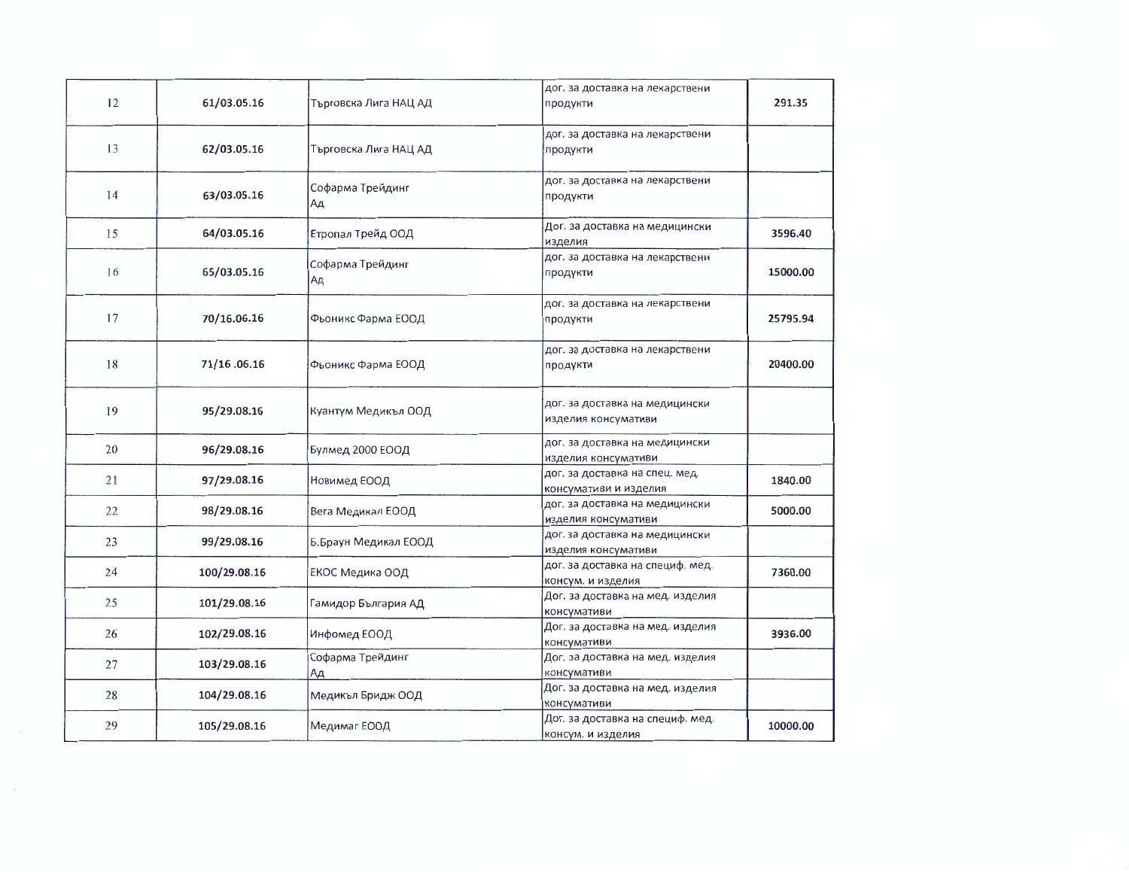| 12 | 61/03.05.16  | Търговска Лига НАЦ АД  | дог. за доставка на лекарствени<br>продукти             | 291.35   |
|----|--------------|------------------------|---------------------------------------------------------|----------|
| 13 | 62/03.05.16  | Търговска Лига НАЦ АД  | дог. за доставка на лекарствени<br>продукти             |          |
| 14 | 63/03.05.16  | Софарма Трейдинг<br>Ад | дог. за доставка на лекарствени<br>продукти             |          |
| 15 | 64/03.05.16  | Етропал Трейд ООД      | Дог. за доставка на медицински<br>изделия               | 3596.40  |
| 16 | 65/03.05.16  | Софарма Трейдинг<br>Ад | дог. за доставка на лекарствени<br>продукти             | 15000.00 |
| 17 | 70/16.06.16  | Фьоникс Фарма ЕООД     | дог. за доставка на лекарствени<br>продукти             | 25795.94 |
| 18 | 71/16.06.16  | Фьоникс Фарма ЕООД     | дог. за доставка на лекарствени<br>продукти             | 20400.00 |
| 19 | 95/29.08.16  | Куантум Медикъл ООД    | дог. за доставка на медицински<br>изделия консумативи   |          |
| 20 | 96/29.08.16  | Булмед 2000 ЕООД       | дог. за доставка на медицински<br>изделия консумативи   |          |
| 21 | 97/29.08.16  | Новимед ЕООД           | дог. за доставка на спец. мед.<br>консумативи и изделия | 1840.00  |
| 22 | 98/29.08.16  | Вега Медикал ЕООД      | дог. за доставка на медицински<br>изделия консумативи   | 5000.00  |
| 23 | 99/29.08.16  | Б.Браун Медикал ЕООД   | дог. за доставка на медицински<br>изделия консумативи   |          |
| 24 | 100/29.08.16 | ЕКОС Медика ООД        | дог. за доставка на специф. мед.<br>консум. и изделия   | 7360.00  |
| 25 | 101/29.08.16 | Гамидор България АД    | Дог. за доставка на мед. изделия<br>консумативи         |          |
| 26 | 102/29.08.16 | Инфомед ЕООД           | Дог. за доставка на мед. изделия<br>консумативи         | 3936.00  |
| 27 | 103/29.08.16 | Софарма Трейдинг<br>Ад | Дог. за доставка на мед. изделия<br>консумативи         |          |
| 28 | 104/29.08.16 | Медикъл Бридж ООД      | Дог. за доставка на мед. изделия<br>консумативи         |          |
| 29 | 105/29.08.16 | Медимаг ЕООД           | Дог. за доставка на специф. мед.<br>консум. и изделия   | 10000.00 |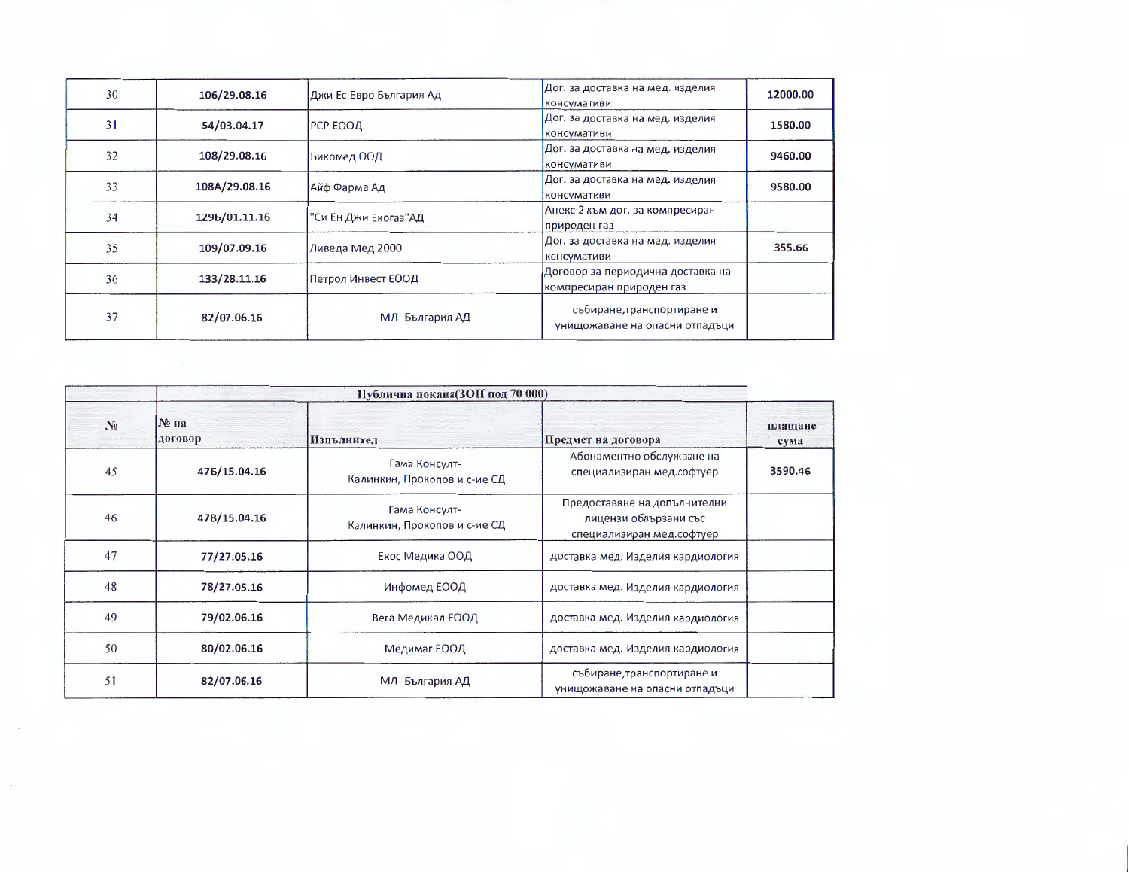| 30 | 106/29.08.16  | Джи Ес Евро България Ад | Дог. за доставка на мед. изделия<br>консумативи               | 12000.00 |
|----|---------------|-------------------------|---------------------------------------------------------------|----------|
| 31 | 54/03.04.17   | РСР ЕООД                | Дог. за доставка на мед. изделия<br>консумативи               | 1580.00  |
| 32 | 108/29.08.16  | Бикомед ООД             | Дог. за доставка на мед. изделия<br>консумативи               | 9460.00  |
| 33 | 108A/29.08.16 | Айф Фарма Ад            | Дог. за доставка на мед. изделия<br>консумативи               | 9580.00  |
| 34 | 1295/01.11.16 | "Си Ен Джи Екогаз"АД    | Анекс 2 към дог. за компресиран<br>природен газ               |          |
| 35 | 109/07.09.16  | Ливеда Мед 2000         | Дог. за доставка на мед. изделия<br>консумативи               | 355.66   |
| 36 | 133/28.11.16  | Петрол Инвест ЕООД      | Договор за периодична доставка на<br>компресиран природен газ |          |
| 37 | 82/07.06.16   | МЛ-България АД          | събиране, транспортиране и<br>унищожаване на опасни отпадъци  |          |

| Публична покана(ЗОП под 70 000) |                    |                                               |                                                                                    |                 |
|---------------------------------|--------------------|-----------------------------------------------|------------------------------------------------------------------------------------|-----------------|
| $N_2$                           | $N2$ Ha<br>договор | Изпълнител                                    | Предмет на договора                                                                | плащане<br>сума |
| 45                              | 475/15.04.16       | Гама Консулт-<br>Калинкин, Прокопов и с-ие СД | Абонаментно обслужване на<br>специализиран мед.софтуер                             | 3590.46         |
| 46                              | 47B/15.04.16       | Гама Консулт-<br>Калинкин, Прокопов и с-ие СД | Предоставяне на допълнителни<br>лицензи обвързани със<br>специализиран мед софтуер |                 |
| 47                              | 77/27.05.16        | Екос Медика ООД                               | доставка мед. Изделия кардиология                                                  |                 |
| 48                              | 78/27.05.16        | Инфомед ЕООД                                  | доставка мед. Изделия кардиология                                                  |                 |
| 49                              | 79/02.06.16        | Вега Медикал ЕООД                             | доставка мед. Изделия кардиология                                                  |                 |
| 50                              | 80/02.06.16        | Медимаг ЕООД                                  | доставка мед. Изделия кардиология                                                  |                 |
| 51                              | 82/07.06.16        | МЛ-България АД                                | събиране, транспортиране и<br>унищожаване на опасни отпадъци                       |                 |